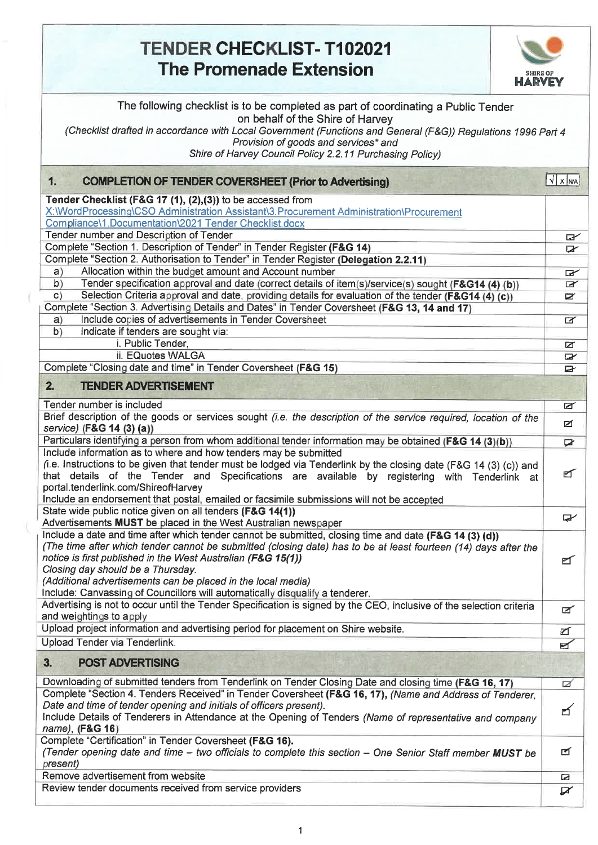## **TENDER CHECKLIST- T102021 The Promenade Extension**



| The following checklist is to be completed as part of coordinating a Public Tender<br>on behalf of the Shire of Harvey<br>(Checklist drafted in accordance with Local Government (Functions and General (F&G)) Regulations 1996 Part 4<br>Provision of goods and services* and<br>Shire of Harvey Council Policy 2.2.11 Purchasing Policy)                                                                                                                                     |                    |  |  |  |
|--------------------------------------------------------------------------------------------------------------------------------------------------------------------------------------------------------------------------------------------------------------------------------------------------------------------------------------------------------------------------------------------------------------------------------------------------------------------------------|--------------------|--|--|--|
| <b>COMPLETION OF TENDER COVERSHEET (Prior to Advertising)</b><br>1.                                                                                                                                                                                                                                                                                                                                                                                                            | $\sqrt{x}$ $x$ $w$ |  |  |  |
| Tender Checklist (F&G 17 (1), (2),(3)) to be accessed from<br>X:\\/VordProcessing\CSO Administration Assistant\3.Procurement Administration\Procurement                                                                                                                                                                                                                                                                                                                        |                    |  |  |  |
| Compliance\1.Documentation\2021 Tender Checklist.docx                                                                                                                                                                                                                                                                                                                                                                                                                          |                    |  |  |  |
| Tender number and Description of Tender                                                                                                                                                                                                                                                                                                                                                                                                                                        | ☞                  |  |  |  |
| Complete "Section 1. Description of Tender" in Tender Register (F&G 14)                                                                                                                                                                                                                                                                                                                                                                                                        | X                  |  |  |  |
| Complete "Section 2. Authorisation to Tender" in Tender Register (Delegation 2.2.11)                                                                                                                                                                                                                                                                                                                                                                                           |                    |  |  |  |
| Allocation within the budget amount and Account number<br>a)                                                                                                                                                                                                                                                                                                                                                                                                                   | $\mathbf{r}$       |  |  |  |
| b)<br>Tender specification approval and date (correct details of item(s)/service(s) sought (F&G14 (4) (b))                                                                                                                                                                                                                                                                                                                                                                     | F                  |  |  |  |
| Selection Criteria approval and date, providing details for evaluation of the tender (F&G14 (4) (c))<br>C)                                                                                                                                                                                                                                                                                                                                                                     | Ø                  |  |  |  |
| Complete "Section 3. Advertising Details and Dates" in Tender Coversheet (F&G 13, 14 and 17)                                                                                                                                                                                                                                                                                                                                                                                   |                    |  |  |  |
| Include copies of advertisements in Tender Coversheet<br>a)                                                                                                                                                                                                                                                                                                                                                                                                                    | $\blacksquare$     |  |  |  |
| Indicate if tenders are sought via:<br>b)<br>i. Public Tender,                                                                                                                                                                                                                                                                                                                                                                                                                 |                    |  |  |  |
| ii. EQuotes WALGA                                                                                                                                                                                                                                                                                                                                                                                                                                                              | ø                  |  |  |  |
| Complete "Closing date and time" in Tender Coversheet (F&G 15)                                                                                                                                                                                                                                                                                                                                                                                                                 | $\mathbf{r}$<br>⋻  |  |  |  |
| <b>TENDER ADVERTISEMENT</b><br>2.                                                                                                                                                                                                                                                                                                                                                                                                                                              |                    |  |  |  |
| Tender number is included                                                                                                                                                                                                                                                                                                                                                                                                                                                      | Ø                  |  |  |  |
| Brief description of the goods or services sought (i.e. the description of the service required, location of the<br>service) (F&G 14 (3) (a))                                                                                                                                                                                                                                                                                                                                  | Ø                  |  |  |  |
| Particulars identifying a person from whom additional tender information may be obtained (F&G 14 (3)(b))                                                                                                                                                                                                                                                                                                                                                                       | x                  |  |  |  |
| Include information as to where and how tenders may be submitted<br>(i.e. Instructions to be given that tender must be lodged via Tenderlink by the closing date (F&G 14 (3) (c)) and<br>that details of the Tender and Specifications are available by registering with Tenderlink at<br>portal.tenderlink.com/ShireofHarvey<br>Include an endorsement that postal, emailed or facsimile submissions will not be accepted                                                     | ⊈                  |  |  |  |
| State wide public notice given on all tenders (F&G 14(1))<br>Advertisements MUST be placed in the West Australian newspaper                                                                                                                                                                                                                                                                                                                                                    | ⋤                  |  |  |  |
| Include a date and time after which tender cannot be submitted, closing time and date (F&G 14 (3) (d))<br>(The time after which tender cannot be submitted (closing date) has to be at least fourteen (14) days after the<br>notice is first published in the West Australian (F&G 15(1))<br>Closing day should be a Thursday.<br>(Additional advertisements can be placed in the local media)<br>Include: Canvassing of Councillors will automatically disqualify a tenderer. | ๔                  |  |  |  |
| Advertising is not to occur until the Tender Specification is signed by the CEO, inclusive of the selection criteria<br>and weightings to apply                                                                                                                                                                                                                                                                                                                                | $\blacksquare$     |  |  |  |
| Upload project information and advertising period for placement on Shire website.                                                                                                                                                                                                                                                                                                                                                                                              | ☑                  |  |  |  |
| Upload Tender via Tenderlink.                                                                                                                                                                                                                                                                                                                                                                                                                                                  | Ø                  |  |  |  |
| <b>POST ADVERTISING</b><br>3.                                                                                                                                                                                                                                                                                                                                                                                                                                                  |                    |  |  |  |
| Downloading of submitted tenders from Tenderlink on Tender Closing Date and closing time (F&G 16, 17)                                                                                                                                                                                                                                                                                                                                                                          | ø                  |  |  |  |
| Complete "Section 4. Tenders Received" in Tender Coversheet (F&G 16, 17), (Name and Address of Tenderer,<br>Date and time of tender opening and initials of officers present).<br>Include Details of Tenderers in Attendance at the Opening of Tenders (Name of representative and company<br>name), (F&G 16)                                                                                                                                                                  | ෪                  |  |  |  |
| Complete "Certification" in Tender Coversheet (F&G 16).<br>(Tender opening date and time - two officials to complete this section - One Senior Staff member MUST be<br>present)                                                                                                                                                                                                                                                                                                | ⊈                  |  |  |  |
| Remove advertisement from website                                                                                                                                                                                                                                                                                                                                                                                                                                              |                    |  |  |  |
| Review tender documents received from service providers                                                                                                                                                                                                                                                                                                                                                                                                                        | $\mathbb{Z}$       |  |  |  |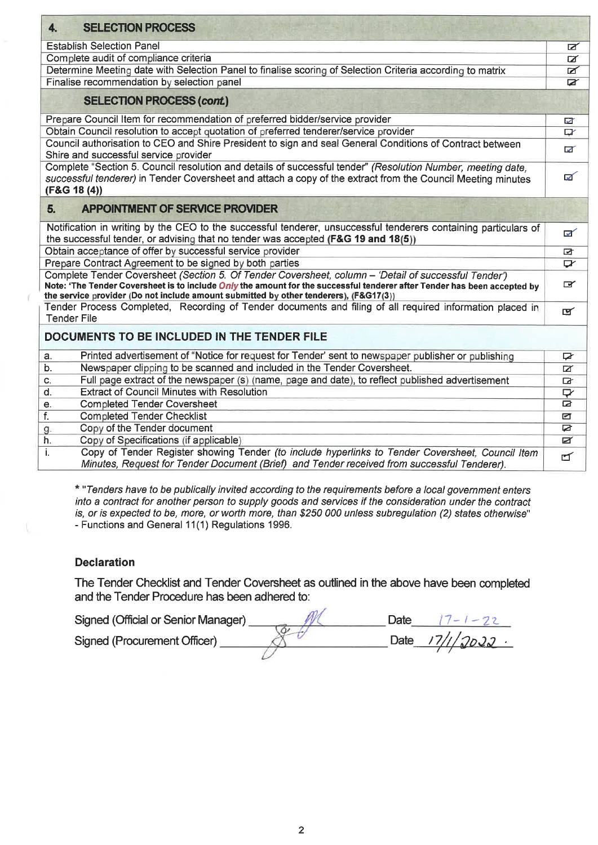| <b>SELECTION PROCESS</b><br>4.                                                                                                                                                                                                                                                                                                   |                         |
|----------------------------------------------------------------------------------------------------------------------------------------------------------------------------------------------------------------------------------------------------------------------------------------------------------------------------------|-------------------------|
| <b>Establish Selection Panel</b>                                                                                                                                                                                                                                                                                                 | ◪                       |
| Complete audit of compliance criteria                                                                                                                                                                                                                                                                                            | $\overline{\mathbf{z}}$ |
| Determine Meeting date with Selection Panel to finalise scoring of Selection Criteria according to matrix                                                                                                                                                                                                                        | ☑                       |
| Finalise recommendation by selection panel                                                                                                                                                                                                                                                                                       | Ø                       |
| <b>SELECTION PROCESS (cont.)</b>                                                                                                                                                                                                                                                                                                 |                         |
| Prepare Council Item for recommendation of preferred bidder/service provider                                                                                                                                                                                                                                                     | ☑                       |
| Obtain Council resolution to accept quotation of preferred tenderer/service provider                                                                                                                                                                                                                                             | $\mathbb{Z}$            |
| Council authorisation to CEO and Shire President to sign and seal General Conditions of Contract between<br>Shire and successful service provider                                                                                                                                                                                | ळ                       |
| Complete "Section 5. Council resolution and details of successful tender" (Resolution Number, meeting date.<br>successful tenderer) in Tender Coversheet and attach a copy of the extract from the Council Meeting minutes<br>(F&G 18 (4))                                                                                       | ☑                       |
| APPOINTMENT OF SERVICE PROVIDER<br>5.                                                                                                                                                                                                                                                                                            |                         |
| Notification in writing by the CEO to the successful tenderer, unsuccessful tenderers containing particulars of<br>the successful tender, or advising that no tender was accepted (F&G 19 and 18(5))                                                                                                                             | ☑                       |
| Obtain acceptance of offer by successful service provider                                                                                                                                                                                                                                                                        | ☑                       |
| Prepare Contract Agreement to be signed by both parties                                                                                                                                                                                                                                                                          | ◘                       |
| Complete Tender Coversheet (Section 5. Of Tender Coversheet, column - 'Detail of successful Tender')<br>Note: 'The Tender Coversheet is to include <i>Only</i> the amount for the successful tenderer after Tender has been accepted by<br>the service provider (Do not include amount submitted by other tenderers), (F&G17(3)) | $\mathbf{r}$            |
| Tender Process Completed, Recording of Tender documents and filing of all required information placed in<br><b>Tender File</b>                                                                                                                                                                                                   | ☞                       |
| DOCUMENTS TO BE INCLUDED IN THE TENDER FILE                                                                                                                                                                                                                                                                                      |                         |
| Printed advertisement of "Notice for request for Tender' sent to newspaper publisher or publishing<br>a.                                                                                                                                                                                                                         | <b>D</b>                |
| Newspaper clipping to be scanned and included in the Tender Coversheet.<br>b.                                                                                                                                                                                                                                                    | Ø                       |
| Full page extract of the newspaper (s) (name, page and date), to reflect published advertisement<br>c.                                                                                                                                                                                                                           | $\overline{\mathbf{a}}$ |
| <b>Extract of Council Minutes with Resolution</b><br>d.                                                                                                                                                                                                                                                                          | ₽                       |
| <b>Completed Tender Coversheet</b><br>е.                                                                                                                                                                                                                                                                                         | r                       |
| f.<br><b>Completed Tender Checklist</b>                                                                                                                                                                                                                                                                                          | ☑                       |
| Copy of the Tender document<br>g.                                                                                                                                                                                                                                                                                                | ø                       |
| Copy of Specifications (if applicable)<br>h.                                                                                                                                                                                                                                                                                     | Ø                       |
| Copy of Tender Register showing Tender (to include hyperlinks to Tender Coversheet, Council Item<br>i.<br>Minutes, Request for Tender Document (Brief) and Tender received from successful Tenderer).                                                                                                                            | $\blacksquare$          |

*\* "Tenders have to be publically invited according to the requirements before a local government enters into a contract for another person to supply goods and services if the consideration under the contract is, or is expected to be, more, or worth more, than \$250 000 unless subregulation (2) states otherwise"*  - Functions and General 11(1) Regulations 1996.

#### **Declaration**

The Tender Checklist and Tender Coversheet as outlined in the above have been completed and the Tender Procedure has been adhered to:

| Signed (Official or Senior Manager) | Date | 7ー 1 ー フこ          |
|-------------------------------------|------|--------------------|
| Signed (Procurement Officer)        |      | Date $17/1/2023$ . |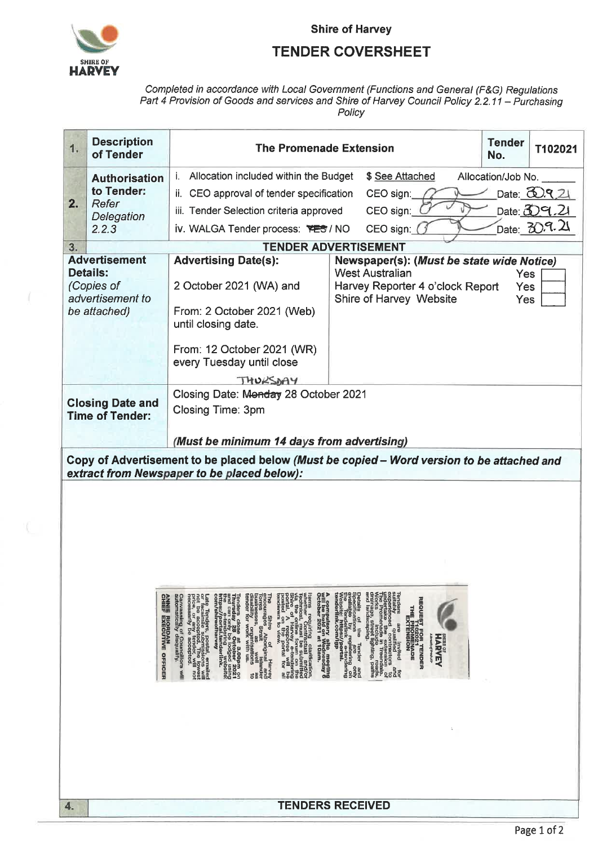

V,

**Shire of Harvey** 

#### **TENDER COVERSHEET**

### Completed in accordance with Local Government (Functions and General (F&G) Regulations<br>Part 4 Provision of Goods and services and Shire of Harvey Council Policy 2.2.11 – Purchasing Policy

| 1.                                                                                                                                                                                                                                                                                                                                                                                                                                                                                                                                                                                                                                                                                                                                                                                                                                                                                                                                                                                                                                                                                                                                                                                                                                                                                                                                                                                                                                                                                                                                   | <b>Description</b><br>of Tender    | <b>The Promenade Extension</b>                                               |                                                                                       |                           | T102021                   |
|--------------------------------------------------------------------------------------------------------------------------------------------------------------------------------------------------------------------------------------------------------------------------------------------------------------------------------------------------------------------------------------------------------------------------------------------------------------------------------------------------------------------------------------------------------------------------------------------------------------------------------------------------------------------------------------------------------------------------------------------------------------------------------------------------------------------------------------------------------------------------------------------------------------------------------------------------------------------------------------------------------------------------------------------------------------------------------------------------------------------------------------------------------------------------------------------------------------------------------------------------------------------------------------------------------------------------------------------------------------------------------------------------------------------------------------------------------------------------------------------------------------------------------------|------------------------------------|------------------------------------------------------------------------------|---------------------------------------------------------------------------------------|---------------------------|---------------------------|
|                                                                                                                                                                                                                                                                                                                                                                                                                                                                                                                                                                                                                                                                                                                                                                                                                                                                                                                                                                                                                                                                                                                                                                                                                                                                                                                                                                                                                                                                                                                                      |                                    | i. Allocation included within the Budget                                     | \$ See Attached                                                                       | No.<br>Allocation/Job No. |                           |
|                                                                                                                                                                                                                                                                                                                                                                                                                                                                                                                                                                                                                                                                                                                                                                                                                                                                                                                                                                                                                                                                                                                                                                                                                                                                                                                                                                                                                                                                                                                                      | <b>Authorisation</b><br>to Tender: | CEO approval of tender specification<br>ii.                                  | CEO sign:                                                                             |                           | Date: $\omega$ . $\alpha$ |
| 2.                                                                                                                                                                                                                                                                                                                                                                                                                                                                                                                                                                                                                                                                                                                                                                                                                                                                                                                                                                                                                                                                                                                                                                                                                                                                                                                                                                                                                                                                                                                                   | Refer                              | iii. Tender Selection criteria approved                                      | CEO sign:                                                                             |                           | Date: $39.21$             |
| Delegation                                                                                                                                                                                                                                                                                                                                                                                                                                                                                                                                                                                                                                                                                                                                                                                                                                                                                                                                                                                                                                                                                                                                                                                                                                                                                                                                                                                                                                                                                                                           |                                    | iv. WALGA Tender process: YES / NO                                           | CEO sign:                                                                             |                           | Date: 30.9.21             |
|                                                                                                                                                                                                                                                                                                                                                                                                                                                                                                                                                                                                                                                                                                                                                                                                                                                                                                                                                                                                                                                                                                                                                                                                                                                                                                                                                                                                                                                                                                                                      | 2.2.3                              |                                                                              | <b>TENDER ADVERTISEMENT</b>                                                           |                           |                           |
| 3.                                                                                                                                                                                                                                                                                                                                                                                                                                                                                                                                                                                                                                                                                                                                                                                                                                                                                                                                                                                                                                                                                                                                                                                                                                                                                                                                                                                                                                                                                                                                   | <b>Advertisement</b>               | <b>Advertising Date(s):</b>                                                  | Newspaper(s): (Must be state wide Notice)                                             |                           |                           |
| <b>Details:</b><br>(Copies of<br>advertisement to<br>be attached)                                                                                                                                                                                                                                                                                                                                                                                                                                                                                                                                                                                                                                                                                                                                                                                                                                                                                                                                                                                                                                                                                                                                                                                                                                                                                                                                                                                                                                                                    |                                    | 2 October 2021 (WA) and<br>From: 2 October 2021 (Web)<br>until closing date. | <b>West Australian</b><br>Harvey Reporter 4 o'clock Report<br>Shire of Harvey Website | Yes<br>Yes<br>Yes         |                           |
|                                                                                                                                                                                                                                                                                                                                                                                                                                                                                                                                                                                                                                                                                                                                                                                                                                                                                                                                                                                                                                                                                                                                                                                                                                                                                                                                                                                                                                                                                                                                      |                                    | From: 12 October 2021 (WR)<br>every Tuesday until close                      |                                                                                       |                           |                           |
|                                                                                                                                                                                                                                                                                                                                                                                                                                                                                                                                                                                                                                                                                                                                                                                                                                                                                                                                                                                                                                                                                                                                                                                                                                                                                                                                                                                                                                                                                                                                      |                                    | THURSDAY<br>Closing Date: Monday 28 October 2021                             |                                                                                       |                           |                           |
|                                                                                                                                                                                                                                                                                                                                                                                                                                                                                                                                                                                                                                                                                                                                                                                                                                                                                                                                                                                                                                                                                                                                                                                                                                                                                                                                                                                                                                                                                                                                      | <b>Closing Date and</b>            | Closing Time: 3pm                                                            |                                                                                       |                           |                           |
|                                                                                                                                                                                                                                                                                                                                                                                                                                                                                                                                                                                                                                                                                                                                                                                                                                                                                                                                                                                                                                                                                                                                                                                                                                                                                                                                                                                                                                                                                                                                      | <b>Time of Tender:</b>             |                                                                              |                                                                                       |                           |                           |
|                                                                                                                                                                                                                                                                                                                                                                                                                                                                                                                                                                                                                                                                                                                                                                                                                                                                                                                                                                                                                                                                                                                                                                                                                                                                                                                                                                                                                                                                                                                                      |                                    | (Must be minimum 14 days from advertising)                                   |                                                                                       |                           |                           |
| Copy of Advertisement to be placed below (Must be copied - Word version to be attached and<br>extract from Newspaper to be placed below):<br>Betalls of the Tender and<br>Betallable by registering on<br>available by registering on<br>Web itendifield profiles<br>the strip of the compare<br>surfably<br>surfably and limited and<br>independent and extragance of<br>independent and extragance of<br>independent and extendighting, paths<br>and landscaping,<br>petalls<br>A compulsory site meeting<br>will be held on Wednesday 6<br>October 2021 at 10am.<br>The Shire of Harvey<br>Torres Strait About Islander<br>Torres Strait Wislander<br>Uninesses of the Mell as<br>Uninesses of the William Correct<br>tender for work with us.<br>Wrenther "Confrage cuality of the properties of the confrage of $\hat{A}$ and $\hat{B}$ and $\hat{B}$ and $\hat{B}$ are the confrage of the state of $\hat{A}$ and $\hat{B}$ are the contract of $\hat{B}$ and $\hat{B}$ and $\hat{B}$ and $\hat{$<br>Canvassing of Councillors will<br>automatically disqualify.<br>Tenders close at 3.00pm on<br>and can only be lodged using<br>and can only be lodged using<br>the supering only be lodged using<br>the superflare of the complete<br>ANNIE RIORDAN<br>CHIEF EXECUTIVE OFFICER<br>Late Tenders, postal, emailed<br>or to a accepted. The lowest<br>price, or any tender, will not<br>price, or any tender, will not<br>necessarily be accepted.<br>THE PROMENADE<br>SHIRE OF<br><b>HARVEY</b><br><b>Ereath of Presh Alr</b> |                                    |                                                                              |                                                                                       |                           |                           |
|                                                                                                                                                                                                                                                                                                                                                                                                                                                                                                                                                                                                                                                                                                                                                                                                                                                                                                                                                                                                                                                                                                                                                                                                                                                                                                                                                                                                                                                                                                                                      |                                    |                                                                              |                                                                                       |                           |                           |
| 4.                                                                                                                                                                                                                                                                                                                                                                                                                                                                                                                                                                                                                                                                                                                                                                                                                                                                                                                                                                                                                                                                                                                                                                                                                                                                                                                                                                                                                                                                                                                                   |                                    |                                                                              | <b>TENDERS RECEIVED</b>                                                               |                           |                           |
|                                                                                                                                                                                                                                                                                                                                                                                                                                                                                                                                                                                                                                                                                                                                                                                                                                                                                                                                                                                                                                                                                                                                                                                                                                                                                                                                                                                                                                                                                                                                      |                                    |                                                                              |                                                                                       |                           | Page 1 of 2               |